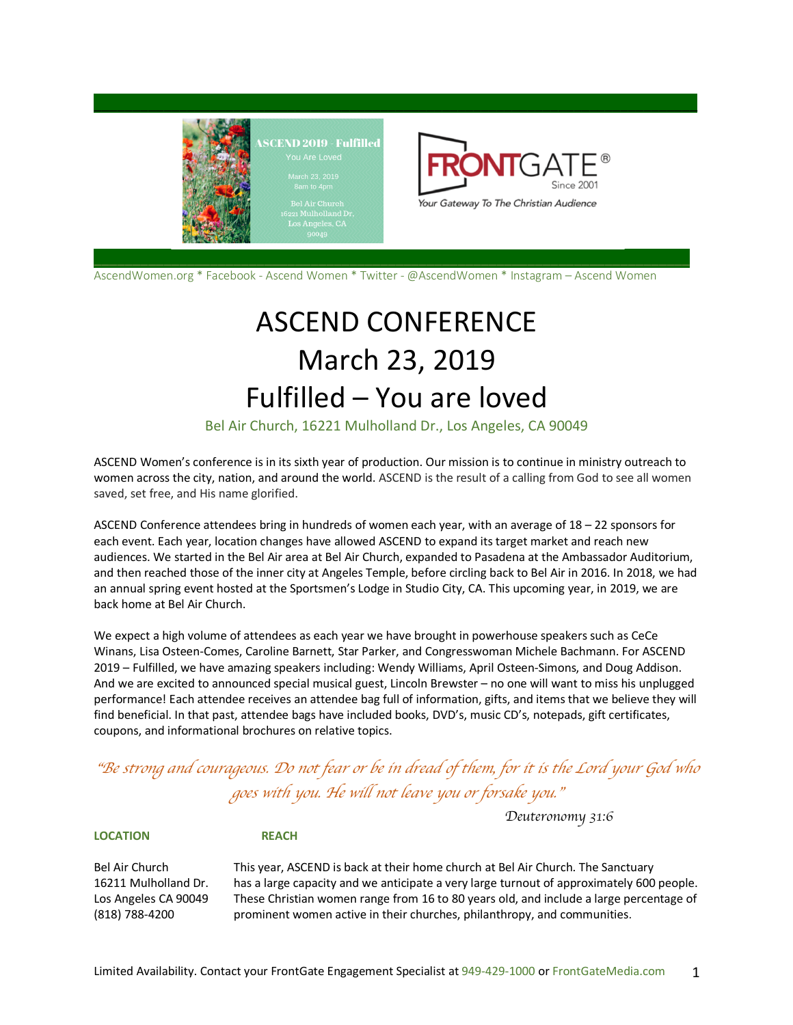

AscendWomen.org \* Facebook - Ascend Women \* Twitter - @AscendWomen \* Instagram – Ascend Women

# ASCEND CONFERENCE March 23, 2019 Fulfilled – You are loved

Bel Air Church, 16221 Mulholland Dr., Los Angeles, CA 90049

ASCEND Women's conference is in its sixth year of production. Our mission is to continue in ministry outreach to women across the city, nation, and around the world. ASCEND is the result of a calling from God to see all women saved, set free, and His name glorified.

ASCEND Conference attendees bring in hundreds of women each year, with an average of 18 – 22 sponsors for each event. Each year, location changes have allowed ASCEND to expand its target market and reach new audiences. We started in the Bel Air area at Bel Air Church, expanded to Pasadena at the Ambassador Auditorium, and then reached those of the inner city at Angeles Temple, before circling back to Bel Air in 2016. In 2018, we had an annual spring event hosted at the Sportsmen's Lodge in Studio City, CA. This upcoming year, in 2019, we are back home at Bel Air Church.

We expect a high volume of attendees as each year we have brought in powerhouse speakers such as CeCe Winans, Lisa Osteen-Comes, Caroline Barnett, Star Parker, and Congresswoman Michele Bachmann. For ASCEND 2019 – Fulfilled, we have amazing speakers including: Wendy Williams, April Osteen-Simons, and Doug Addison. And we are excited to announced special musical guest, Lincoln Brewster – no one will want to miss his unplugged performance! Each attendee receives an attendee bag full of information, gifts, and items that we believe they will find beneficial. In that past, attendee bags have included books, DVD's, music CD's, notepads, gift certificates, coupons, and informational brochures on relative topics.

## "*Be strong and courageous. Do not fear or be in dread of them, for it is the Lord your God who goes with you. He will not leave you or forsake you.*"

**LOCATION REACH**

Bel Air Church This year, ASCEND is back at their home church at Bel Air Church. The Sanctuary 16211 Mulholland Dr. has a large capacity and we anticipate a very large turnout of approximately 600 people. Los Angeles CA 90049 These Christian women range from 16 to 80 years old, and include a large percentage of (818) 788-4200 prominent women active in their churches, philanthropy, and communities.

*Deuteronomy 31:6*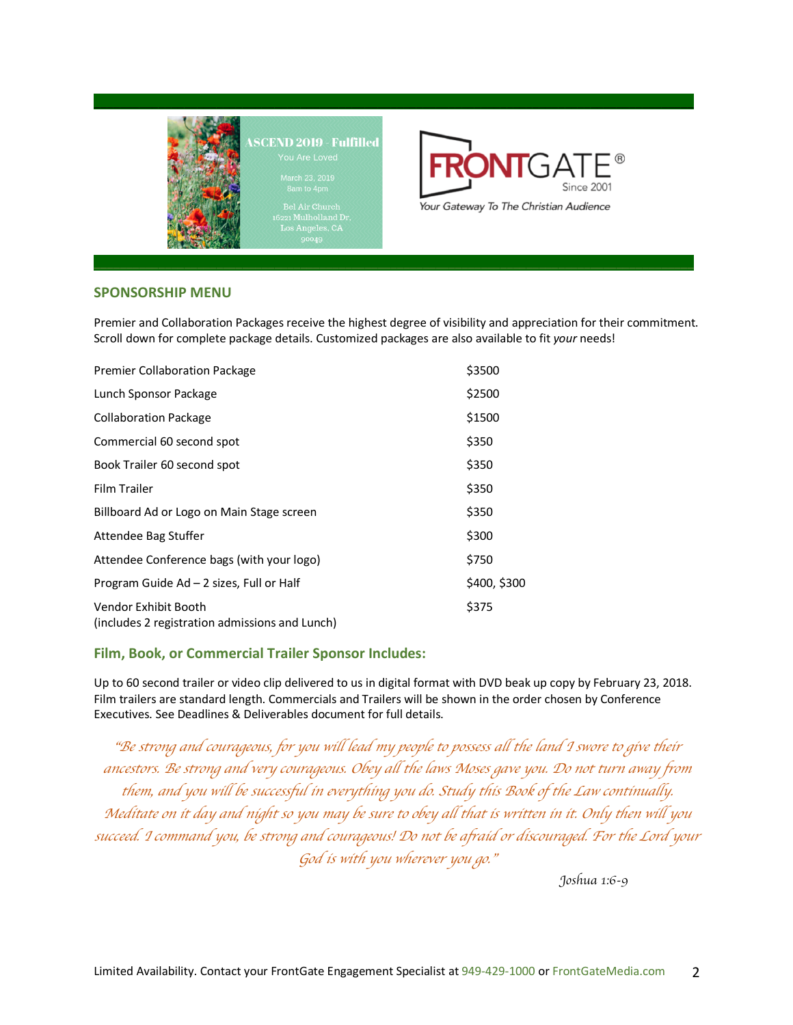

el Air Church<br>Mulholland D



### **SPONSORSHIP MENU**

Premier and Collaboration Packages receive the highest degree of visibility and appreciation for their commitment. Scroll down for complete package details. Customized packages are also available to fit *your* needs!

| <b>Premier Collaboration Package</b>                                   | \$3500       |
|------------------------------------------------------------------------|--------------|
| Lunch Sponsor Package                                                  | \$2500       |
| <b>Collaboration Package</b>                                           | \$1500       |
| Commercial 60 second spot                                              | \$350        |
| Book Trailer 60 second spot                                            | \$350        |
| Film Trailer                                                           | \$350        |
| Billboard Ad or Logo on Main Stage screen                              | \$350        |
| Attendee Bag Stuffer                                                   | \$300        |
| Attendee Conference bags (with your logo)                              | \$750        |
| Program Guide Ad - 2 sizes, Full or Half                               | \$400, \$300 |
| Vendor Exhibit Booth<br>(includes 2 registration admissions and Lunch) | \$375        |

### **Film, Book, or Commercial Trailer Sponsor Includes:**

Up to 60 second trailer or video clip delivered to us in digital format with DVD beak up copy by February 23, 2018. Film trailers are standard length. Commercials and Trailers will be shown in the order chosen by Conference Executives. See Deadlines & Deliverables document for full details.

"*Be strong and courageous, for you will lead my people to possess all the land I swore to give their ancestors. Be strong and very courageous. Obey all the laws Moses gave you. Do not turn away from them, and you will be successful in everything you do. Study this Book of the Law continually. Meditate on it day and night so you may be sure to obey all that is written in it. Only then will you succeed. I command you, be strong and courageous! Do not be afraid or discouraged. For the Lord your God is with you wherever you go.*"

*Joshua 1:6-9*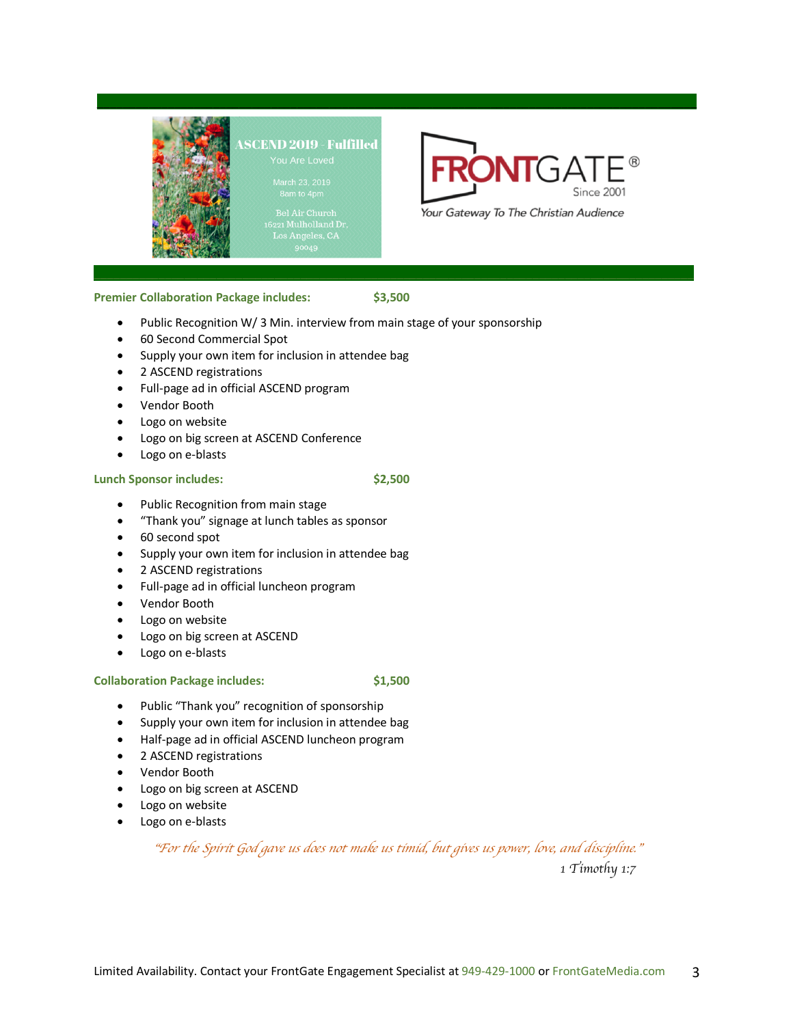

el Air Church<br>1 Mulholland Dı



### **Premier Collaboration Package includes: \$3,500**

- Public Recognition W/ 3 Min. interview from main stage of your sponsorship
- 60 Second Commercial Spot
- Supply your own item for inclusion in attendee bag
- 2 ASCEND registrations
- Full-page ad in official ASCEND program
- Vendor Booth
- Logo on website
- Logo on big screen at ASCEND Conference
- Logo on e-blasts

#### **Lunch Sponsor includes: \$2,500**

- Public Recognition from main stage
- "Thank you" signage at lunch tables as sponsor
- 60 second spot
- Supply your own item for inclusion in attendee bag
- 2 ASCEND registrations
- Full-page ad in official luncheon program
- Vendor Booth
- Logo on website
- Logo on big screen at ASCEND
- Logo on e-blasts

#### **Collaboration Package includes: \$1,500**

- Public "Thank you" recognition of sponsorship
- Supply your own item for inclusion in attendee bag
- Half-page ad in official ASCEND luncheon program
- 2 ASCEND registrations
- Vendor Booth
- Logo on big screen at ASCEND
- Logo on website
- Logo on e-blasts

### "*For the Spirit God gave us does not make us timid, but gives us power, love, and discipline.*"

*1 Timothy 1:7*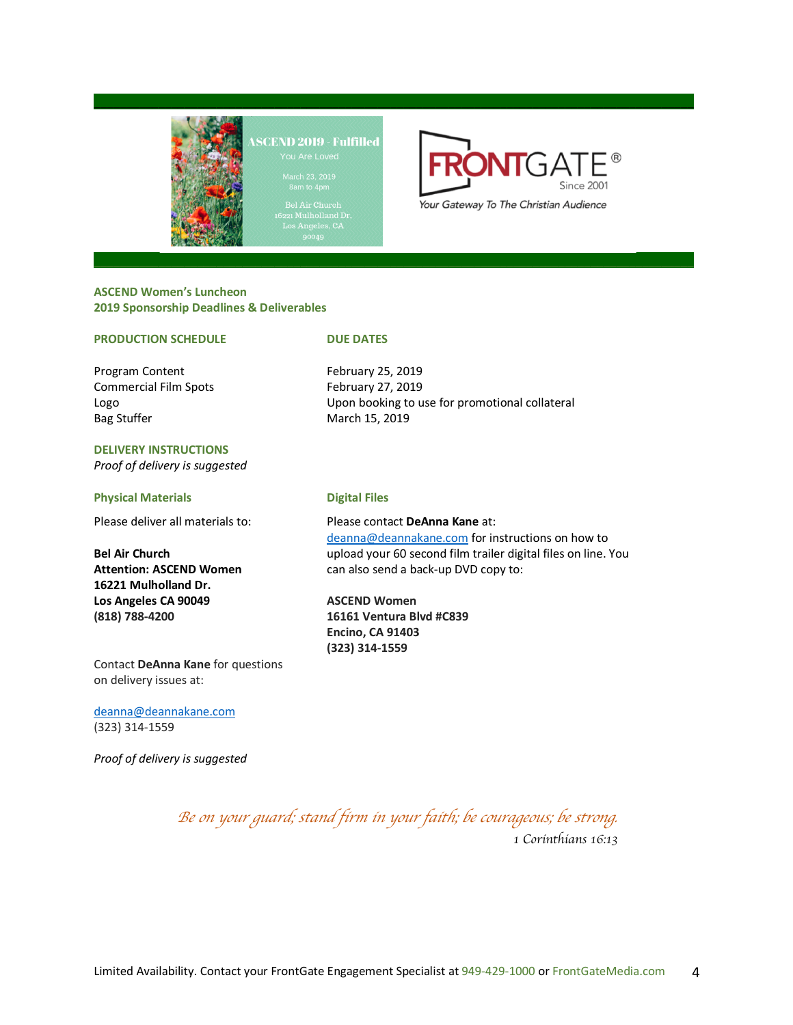



#### **ASCEND Women's Luncheon 2019 Sponsorship Deadlines & Deliverables**

#### **PRODUCTION SCHEDULE** DUE DATES

Program Content February 25, 2019 Commercial Film Spots February 27, 2019 Bag Stuffer March 15, 2019

**DELIVERY INSTRUCTIONS** *Proof of delivery is suggested*

#### **Physical Materials Digital Files**

**16221 Mulholland Dr. Los Angeles CA 90049 ASCEND Women**

Logo Upon booking to use for promotional collateral

Please deliver all materials to: Please contact **DeAnna Kane** at: deanna@deannakane.com for instructions on how to **Bel Air Church** upload your 60 second film trailer digital files on line. You **Attention: ASCEND Women** can also send a back-up DVD copy to:

**(818) 788-4200 16161 Ventura Blvd #C839 Encino, CA 91403 (323) 314-1559**

Contact **DeAnna Kane** for questions on delivery issues at:

deanna@deannakane.com (323) 314-1559

*Proof of delivery is suggested*

*Be on your guard; stand firm in your faith; be courageous; be strong.*

*1 Corinthians 16:13*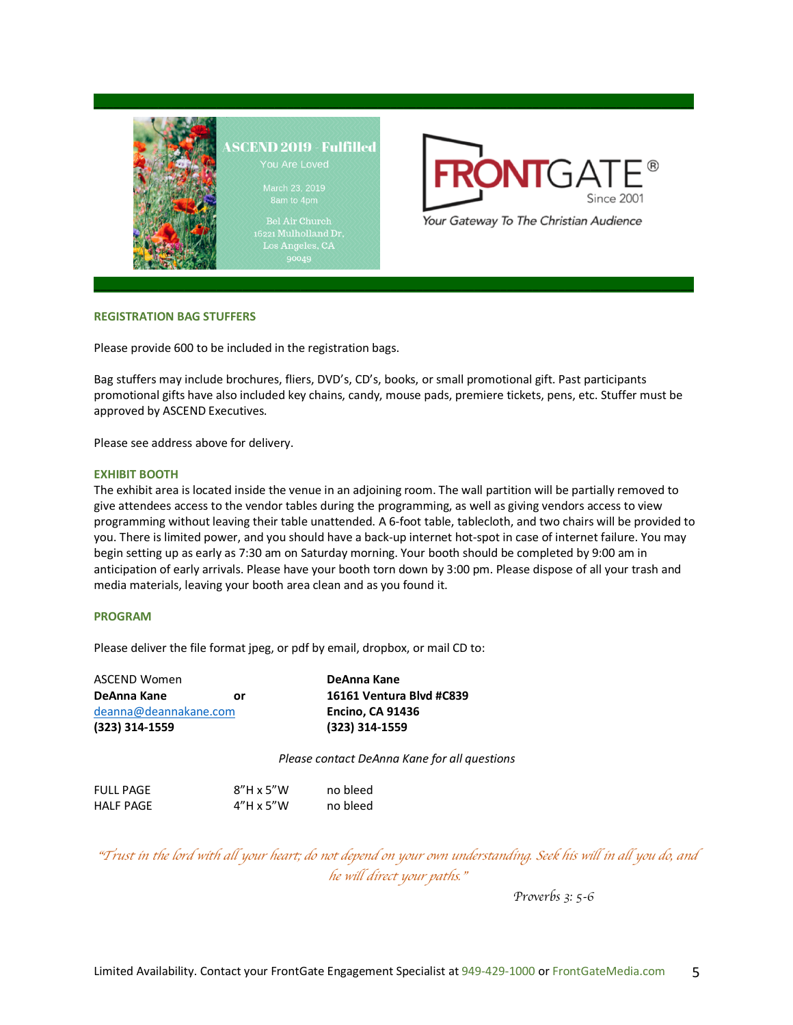



#### **REGISTRATION BAG STUFFERS**

Please provide 600 to be included in the registration bags.

Bag stuffers may include brochures, fliers, DVD's, CD's, books, or small promotional gift. Past participants promotional gifts have also included key chains, candy, mouse pads, premiere tickets, pens, etc. Stuffer must be approved by ASCEND Executives.

Please see address above for delivery.

#### **EXHIBIT BOOTH**

The exhibit area is located inside the venue in an adjoining room. The wall partition will be partially removed to give attendees access to the vendor tables during the programming, as well as giving vendors access to view programming without leaving their table unattended. A 6-foot table, tablecloth, and two chairs will be provided to you. There is limited power, and you should have a back-up internet hot-spot in case of internet failure. You may begin setting up as early as 7:30 am on Saturday morning. Your booth should be completed by 9:00 am in anticipation of early arrivals. Please have your booth torn down by 3:00 pm. Please dispose of all your trash and media materials, leaving your booth area clean and as you found it.

#### **PROGRAM**

Please deliver the file format jpeg, or pdf by email, dropbox, or mail CD to:

| ASCEND Women          | DeAnna Kane              |
|-----------------------|--------------------------|
| DeAnna Kane<br>or     | 16161 Ventura Blvd #C839 |
| deanna@deannakane.com | <b>Encino, CA 91436</b>  |
| $(323)$ 314-1559      | (323) 314-1559           |
|                       |                          |

*Please contact DeAnna Kane for all questions*

| <b>FULL PAGE</b> | $8''H \times 5''W$ | no bleed |
|------------------|--------------------|----------|
| <b>HALF PAGE</b> | $4''H \times 5''W$ | no bleed |

"*Trust in the lord with all your heart; do not depend on your own understanding. Seek his will in all you do, and he will direct your paths.*"

*Proverbs 3: 5-6*